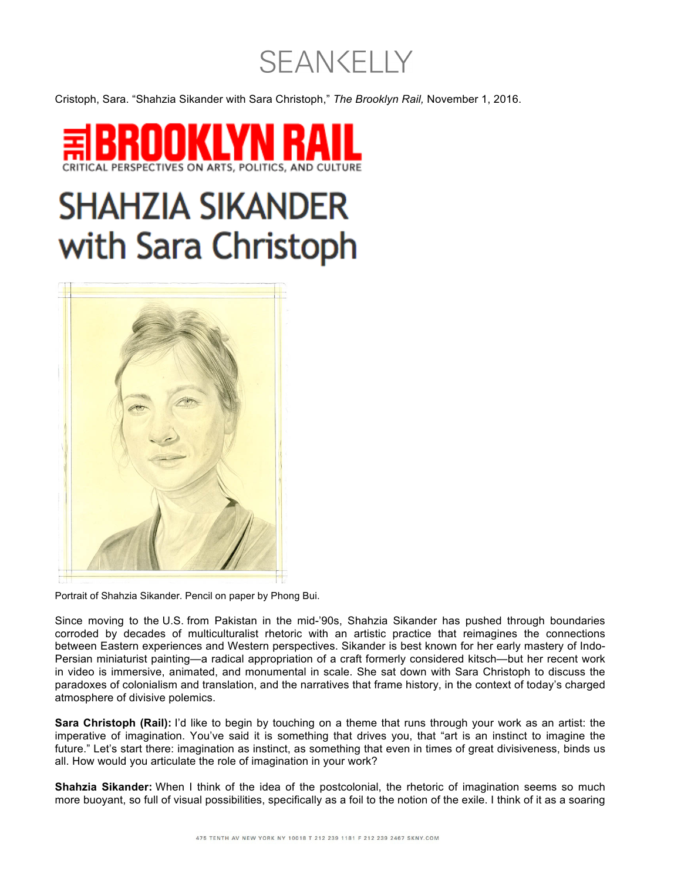## **SEAN CELLY**

Cristoph, Sara. "Shahzia Sikander with Sara Christoph," *The Brooklyn Rail,* November 1, 2016.



## **SHAHZIA SIKANDER** with Sara Christoph



Portrait of Shahzia Sikander. Pencil on paper by Phong Bui.

Since moving to the U.S. from Pakistan in the mid-'90s, Shahzia Sikander has pushed through boundaries corroded by decades of multiculturalist rhetoric with an artistic practice that reimagines the connections between Eastern experiences and Western perspectives. Sikander is best known for her early mastery of Indo-Persian miniaturist painting—a radical appropriation of a craft formerly considered kitsch—but her recent work in video is immersive, animated, and monumental in scale. She sat down with Sara Christoph to discuss the paradoxes of colonialism and translation, and the narratives that frame history, in the context of today's charged atmosphere of divisive polemics.

**Sara Christoph (Rail):** I'd like to begin by touching on a theme that runs through your work as an artist: the imperative of imagination. You've said it is something that drives you, that "art is an instinct to imagine the future." Let's start there: imagination as instinct, as something that even in times of great divisiveness, binds us all. How would you articulate the role of imagination in your work?

**Shahzia Sikander:** When I think of the idea of the postcolonial, the rhetoric of imagination seems so much more buoyant, so full of visual possibilities, specifically as a foil to the notion of the exile. I think of it as a soaring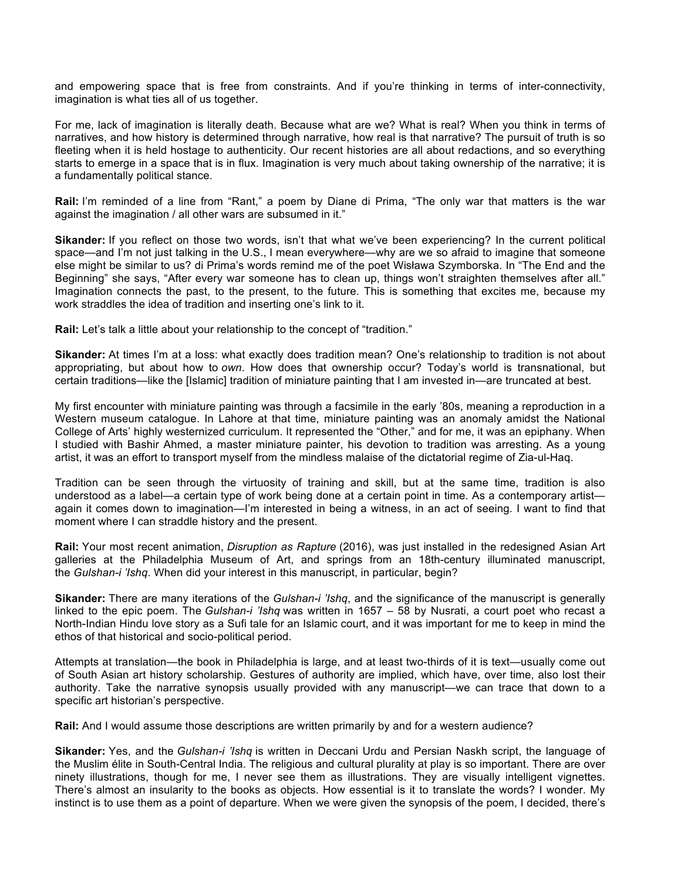and empowering space that is free from constraints. And if you're thinking in terms of inter-connectivity, imagination is what ties all of us together.

For me, lack of imagination is literally death. Because what are we? What is real? When you think in terms of narratives, and how history is determined through narrative, how real is that narrative? The pursuit of truth is so fleeting when it is held hostage to authenticity. Our recent histories are all about redactions, and so everything starts to emerge in a space that is in flux. Imagination is very much about taking ownership of the narrative; it is a fundamentally political stance.

**Rail:** I'm reminded of a line from "Rant," a poem by Diane di Prima, "The only war that matters is the war against the imagination / all other wars are subsumed in it."

**Sikander:** If you reflect on those two words, isn't that what we've been experiencing? In the current political space—and I'm not just talking in the U.S., I mean everywhere—why are we so afraid to imagine that someone else might be similar to us? di Prima's words remind me of the poet Wisława Szymborska. In "The End and the Beginning" she says, "After every war someone has to clean up, things won't straighten themselves after all." Imagination connects the past, to the present, to the future. This is something that excites me, because my work straddles the idea of tradition and inserting one's link to it.

**Rail:** Let's talk a little about your relationship to the concept of "tradition."

**Sikander:** At times I'm at a loss: what exactly does tradition mean? One's relationship to tradition is not about appropriating, but about how to *own*. How does that ownership occur? Today's world is transnational, but certain traditions—like the [Islamic] tradition of miniature painting that I am invested in—are truncated at best.

My first encounter with miniature painting was through a facsimile in the early '80s, meaning a reproduction in a Western museum catalogue. In Lahore at that time, miniature painting was an anomaly amidst the National College of Arts' highly westernized curriculum. It represented the "Other," and for me, it was an epiphany. When I studied with Bashir Ahmed, a master miniature painter, his devotion to tradition was arresting. As a young artist, it was an effort to transport myself from the mindless malaise of the dictatorial regime of Zia-ul-Haq.

Tradition can be seen through the virtuosity of training and skill, but at the same time, tradition is also understood as a label—a certain type of work being done at a certain point in time. As a contemporary artist again it comes down to imagination—I'm interested in being a witness, in an act of seeing. I want to find that moment where I can straddle history and the present.

**Rail:** Your most recent animation, *Disruption as Rapture* (2016), was just installed in the redesigned Asian Art galleries at the Philadelphia Museum of Art, and springs from an 18th-century illuminated manuscript, the *Gulshan-i 'Ishq*. When did your interest in this manuscript, in particular, begin?

**Sikander:** There are many iterations of the *Gulshan-i 'Ishq*, and the significance of the manuscript is generally linked to the epic poem. The *Gulshan-i 'Ishq* was written in 1657 – 58 by Nusrati, a court poet who recast a North-Indian Hindu love story as a Sufi tale for an Islamic court, and it was important for me to keep in mind the ethos of that historical and socio-political period.

Attempts at translation—the book in Philadelphia is large, and at least two-thirds of it is text—usually come out of South Asian art history scholarship. Gestures of authority are implied, which have, over time, also lost their authority. Take the narrative synopsis usually provided with any manuscript—we can trace that down to a specific art historian's perspective.

**Rail:** And I would assume those descriptions are written primarily by and for a western audience?

**Sikander:** Yes, and the *Gulshan-i 'Ishq* is written in Deccani Urdu and Persian Naskh script, the language of the Muslim élite in South-Central India. The religious and cultural plurality at play is so important. There are over ninety illustrations, though for me, I never see them as illustrations. They are visually intelligent vignettes. There's almost an insularity to the books as objects. How essential is it to translate the words? I wonder. My instinct is to use them as a point of departure. When we were given the synopsis of the poem, I decided, there's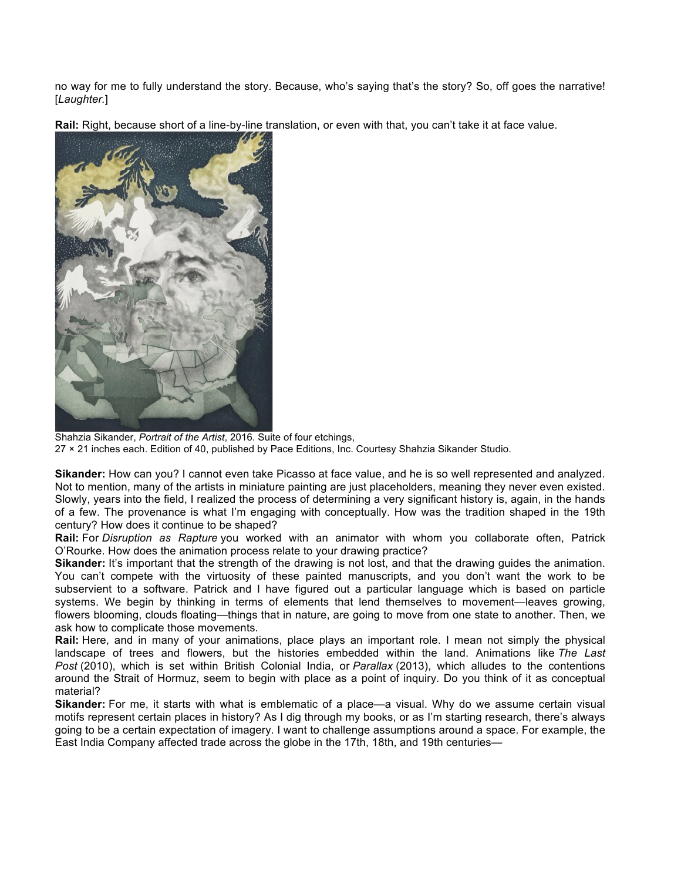no way for me to fully understand the story. Because, who's saying that's the story? So, off goes the narrative! [*Laughter.*]

**Rail:** Right, because short of a line-by-line translation, or even with that, you can't take it at face value.



Shahzia Sikander, *Portrait of the Artist*, 2016. Suite of four etchings, 27 × 21 inches each. Edition of 40, published by Pace Editions, Inc. Courtesy Shahzia Sikander Studio.

**Sikander:** How can you? I cannot even take Picasso at face value, and he is so well represented and analyzed. Not to mention, many of the artists in miniature painting are just placeholders, meaning they never even existed. Slowly, years into the field, I realized the process of determining a very significant history is, again, in the hands of a few. The provenance is what I'm engaging with conceptually. How was the tradition shaped in the 19th century? How does it continue to be shaped?

**Rail:** For *Disruption as Rapture* you worked with an animator with whom you collaborate often, Patrick O'Rourke. How does the animation process relate to your drawing practice?

**Sikander:** It's important that the strength of the drawing is not lost, and that the drawing guides the animation. You can't compete with the virtuosity of these painted manuscripts, and you don't want the work to be subservient to a software. Patrick and I have figured out a particular language which is based on particle systems. We begin by thinking in terms of elements that lend themselves to movement—leaves growing, flowers blooming, clouds floating—things that in nature, are going to move from one state to another. Then, we ask how to complicate those movements.

**Rail:** Here, and in many of your animations, place plays an important role. I mean not simply the physical landscape of trees and flowers, but the histories embedded within the land. Animations like *The Last Post* (2010), which is set within British Colonial India, or *Parallax* (2013), which alludes to the contentions around the Strait of Hormuz, seem to begin with place as a point of inquiry. Do you think of it as conceptual material?

**Sikander:** For me, it starts with what is emblematic of a place—a visual. Why do we assume certain visual motifs represent certain places in history? As I dig through my books, or as I'm starting research, there's always going to be a certain expectation of imagery. I want to challenge assumptions around a space. For example, the East India Company affected trade across the globe in the 17th, 18th, and 19th centuries—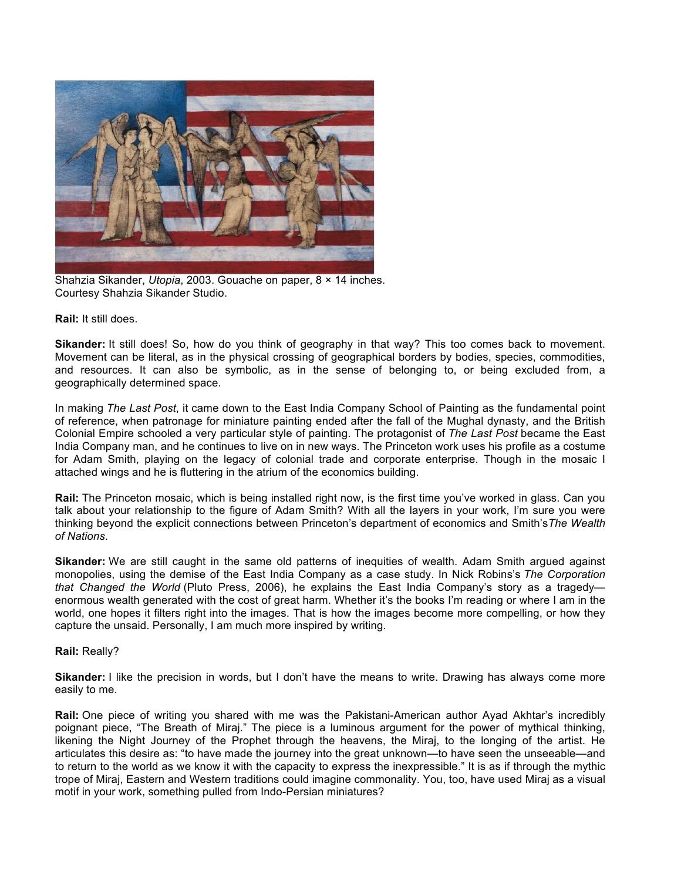

Shahzia Sikander, *Utopia*, 2003. Gouache on paper, 8 × 14 inches. Courtesy Shahzia Sikander Studio.

## **Rail:** It still does.

**Sikander:** It still does! So, how do you think of geography in that way? This too comes back to movement. Movement can be literal, as in the physical crossing of geographical borders by bodies, species, commodities, and resources. It can also be symbolic, as in the sense of belonging to, or being excluded from, a geographically determined space.

In making *The Last Post*, it came down to the East India Company School of Painting as the fundamental point of reference, when patronage for miniature painting ended after the fall of the Mughal dynasty, and the British Colonial Empire schooled a very particular style of painting. The protagonist of *The Last Post* became the East India Company man, and he continues to live on in new ways. The Princeton work uses his profile as a costume for Adam Smith, playing on the legacy of colonial trade and corporate enterprise. Though in the mosaic I attached wings and he is fluttering in the atrium of the economics building.

**Rail:** The Princeton mosaic, which is being installed right now, is the first time you've worked in glass. Can you talk about your relationship to the figure of Adam Smith? With all the layers in your work, I'm sure you were thinking beyond the explicit connections between Princeton's department of economics and Smith's*The Wealth of Nations*.

**Sikander:** We are still caught in the same old patterns of inequities of wealth. Adam Smith argued against monopolies, using the demise of the East India Company as a case study. In Nick Robins's *The Corporation that Changed the World* (Pluto Press, 2006), he explains the East India Company's story as a tragedy enormous wealth generated with the cost of great harm. Whether it's the books I'm reading or where I am in the world, one hopes it filters right into the images. That is how the images become more compelling, or how they capture the unsaid. Personally, I am much more inspired by writing.

## **Rail:** Really?

**Sikander:** I like the precision in words, but I don't have the means to write. Drawing has always come more easily to me.

**Rail:** One piece of writing you shared with me was the Pakistani-American author Ayad Akhtar's incredibly poignant piece, "The Breath of Miraj." The piece is a luminous argument for the power of mythical thinking, likening the Night Journey of the Prophet through the heavens, the Miraj, to the longing of the artist. He articulates this desire as: "to have made the journey into the great unknown—to have seen the unseeable—and to return to the world as we know it with the capacity to express the inexpressible." It is as if through the mythic trope of Miraj, Eastern and Western traditions could imagine commonality. You, too, have used Miraj as a visual motif in your work, something pulled from Indo-Persian miniatures?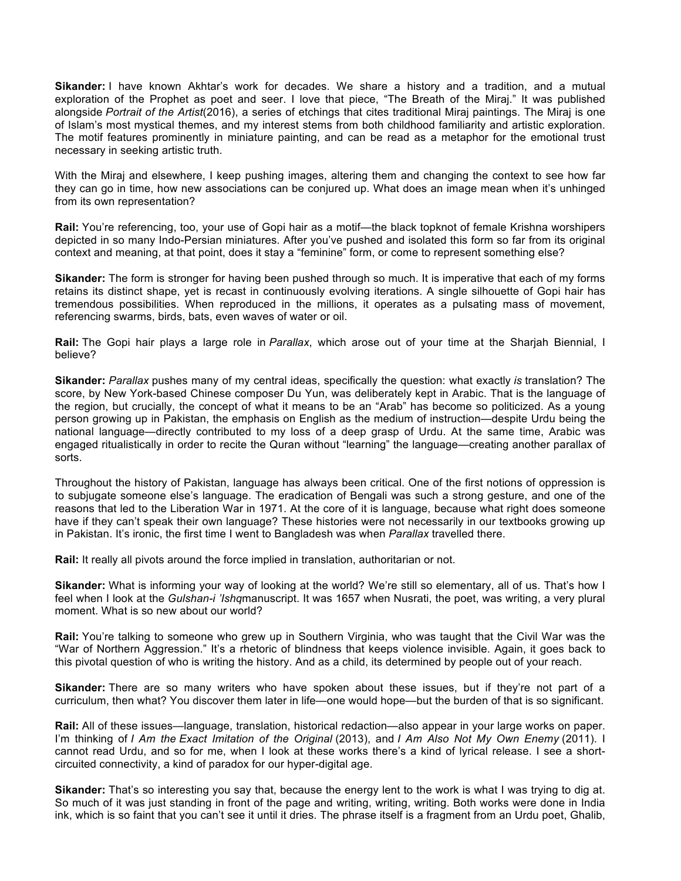**Sikander:** I have known Akhtar's work for decades. We share a history and a tradition, and a mutual exploration of the Prophet as poet and seer. I love that piece, "The Breath of the Miraj." It was published alongside *Portrait of the Artist*(2016), a series of etchings that cites traditional Miraj paintings. The Miraj is one of Islam's most mystical themes, and my interest stems from both childhood familiarity and artistic exploration. The motif features prominently in miniature painting, and can be read as a metaphor for the emotional trust necessary in seeking artistic truth.

With the Miraj and elsewhere, I keep pushing images, altering them and changing the context to see how far they can go in time, how new associations can be conjured up. What does an image mean when it's unhinged from its own representation?

**Rail:** You're referencing, too, your use of Gopi hair as a motif—the black topknot of female Krishna worshipers depicted in so many Indo-Persian miniatures. After you've pushed and isolated this form so far from its original context and meaning, at that point, does it stay a "feminine" form, or come to represent something else?

**Sikander:** The form is stronger for having been pushed through so much. It is imperative that each of my forms retains its distinct shape, yet is recast in continuously evolving iterations. A single silhouette of Gopi hair has tremendous possibilities. When reproduced in the millions, it operates as a pulsating mass of movement, referencing swarms, birds, bats, even waves of water or oil.

**Rail:** The Gopi hair plays a large role in *Parallax*, which arose out of your time at the Sharjah Biennial, I believe?

**Sikander:** *Parallax* pushes many of my central ideas, specifically the question: what exactly *is* translation? The score, by New York-based Chinese composer Du Yun, was deliberately kept in Arabic. That is the language of the region, but crucially, the concept of what it means to be an "Arab" has become so politicized. As a young person growing up in Pakistan, the emphasis on English as the medium of instruction—despite Urdu being the national language—directly contributed to my loss of a deep grasp of Urdu. At the same time, Arabic was engaged ritualistically in order to recite the Quran without "learning" the language—creating another parallax of sorts.

Throughout the history of Pakistan, language has always been critical. One of the first notions of oppression is to subjugate someone else's language. The eradication of Bengali was such a strong gesture, and one of the reasons that led to the Liberation War in 1971. At the core of it is language, because what right does someone have if they can't speak their own language? These histories were not necessarily in our textbooks growing up in Pakistan. It's ironic, the first time I went to Bangladesh was when *Parallax* travelled there.

**Rail:** It really all pivots around the force implied in translation, authoritarian or not.

**Sikander:** What is informing your way of looking at the world? We're still so elementary, all of us. That's how I feel when I look at the *Gulshan-i 'Ishq*manuscript. It was 1657 when Nusrati, the poet, was writing, a very plural moment. What is so new about our world?

**Rail:** You're talking to someone who grew up in Southern Virginia, who was taught that the Civil War was the "War of Northern Aggression." It's a rhetoric of blindness that keeps violence invisible. Again, it goes back to this pivotal question of who is writing the history. And as a child, its determined by people out of your reach.

**Sikander:** There are so many writers who have spoken about these issues, but if they're not part of a curriculum, then what? You discover them later in life—one would hope—but the burden of that is so significant.

**Rail:** All of these issues—language, translation, historical redaction—also appear in your large works on paper. I'm thinking of *I Am the Exact Imitation of the Original* (2013), and *I Am Also Not My Own Enemy* (2011). I cannot read Urdu, and so for me, when I look at these works there's a kind of lyrical release. I see a shortcircuited connectivity, a kind of paradox for our hyper-digital age.

**Sikander:** That's so interesting you say that, because the energy lent to the work is what I was trying to dig at. So much of it was just standing in front of the page and writing, writing, writing. Both works were done in India ink, which is so faint that you can't see it until it dries. The phrase itself is a fragment from an Urdu poet, Ghalib,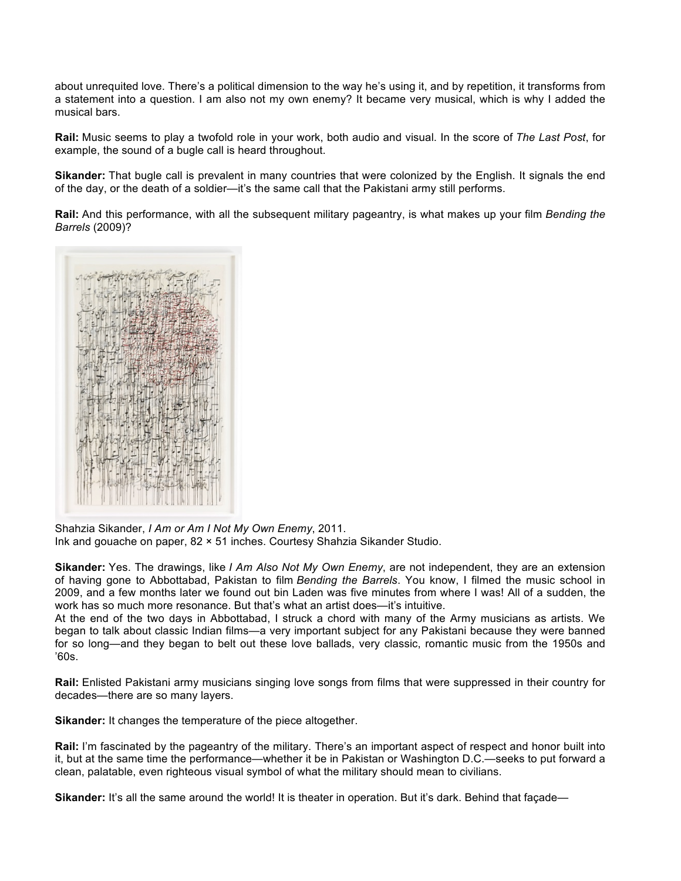about unrequited love. There's a political dimension to the way he's using it, and by repetition, it transforms from a statement into a question. I am also not my own enemy? It became very musical, which is why I added the musical bars.

**Rail:** Music seems to play a twofold role in your work, both audio and visual. In the score of *The Last Post*, for example, the sound of a bugle call is heard throughout.

**Sikander:** That bugle call is prevalent in many countries that were colonized by the English. It signals the end of the day, or the death of a soldier—it's the same call that the Pakistani army still performs.

**Rail:** And this performance, with all the subsequent military pageantry, is what makes up your film *Bending the Barrels* (2009)?



Shahzia Sikander, *I Am or Am I Not My Own Enemy*, 2011. Ink and gouache on paper, 82 × 51 inches. Courtesy Shahzia Sikander Studio.

**Sikander:** Yes. The drawings, like *I Am Also Not My Own Enemy*, are not independent, they are an extension of having gone to Abbottabad, Pakistan to film *Bending the Barrels*. You know, I filmed the music school in 2009, and a few months later we found out bin Laden was five minutes from where I was! All of a sudden, the work has so much more resonance. But that's what an artist does—it's intuitive.

At the end of the two days in Abbottabad, I struck a chord with many of the Army musicians as artists. We began to talk about classic Indian films—a very important subject for any Pakistani because they were banned for so long—and they began to belt out these love ballads, very classic, romantic music from the 1950s and '60s.

**Rail:** Enlisted Pakistani army musicians singing love songs from films that were suppressed in their country for decades—there are so many layers.

**Sikander:** It changes the temperature of the piece altogether.

**Rail:** I'm fascinated by the pageantry of the military. There's an important aspect of respect and honor built into it, but at the same time the performance—whether it be in Pakistan or Washington D.C.—seeks to put forward a clean, palatable, even righteous visual symbol of what the military should mean to civilians.

**Sikander:** It's all the same around the world! It is theater in operation. But it's dark. Behind that facade—